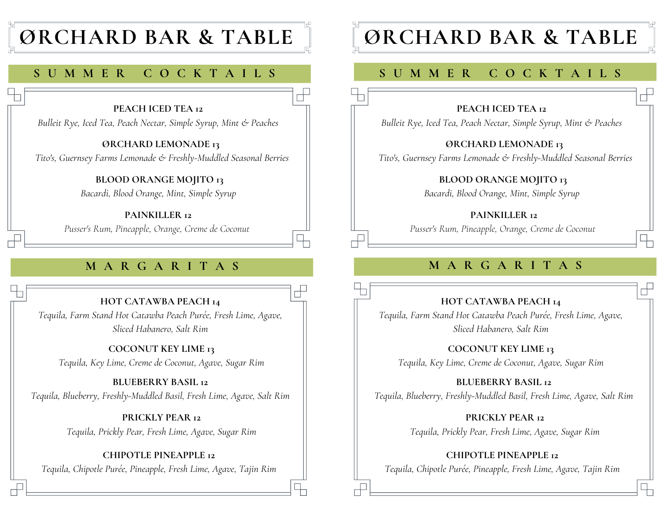## **ØRCHARD BAR & TABLE**

## **S U M M E R C O C K T A I L S**

#### **PEACH ICED TEA 12**

*Bulleit Rye, Iced Tea, Peach Nectar, Simple Syrup, Mint & Peaches*

**ØRCHARD LEMONADE 13** *Tito's, Guernsey Farms Lemonade & Freshly-Muddled Seasonal Berries*

 $\Box$ 

**BLOOD ORANGE MOJITO 13**

*Bacardi, Blood Orange, Mint, Simple Syrup*

**PAINKILLER 12**

*Pusser's Rum, Pineapple, Orange, Creme de Coconut*

**HOT CATAWBA PEACH 14**

*Tequila, Farm Stand Hot Catawba Peach Purée, Fresh Lime, Agave, Sliced Habanero, Salt Rim*

**COCONUT KEY LIME 13** *Tequila, Key Lime, Creme de Coconut, Agave, Sugar Rim*

**BLUEBERRY BASIL 12** *Tequila, Blueberry, Freshly-Muddled Basil, Fresh Lime, Agave, Salt Rim*

> **PRICKLY PEAR 12** *Tequila, Prickly Pear, Fresh Lime, Agave, Sugar Rim*

**CHIPOTLE PINEAPPLE 12** *Tequila, Chipotle Purée, Pineapple, Fresh Lime, Agave, Tajin Rim*

## **ØRCHARD BAR & TABLE**

## **S U M M E R C O C K T A I L S**

#### **PEACH ICED TEA 12**

*Bulleit Rye, Iced Tea, Peach Nectar, Simple Syrup, Mint & Peaches*

**ØRCHARD LEMONADE 13**

*Tito's, Guernsey Farms Lemonade & Freshly-Muddled Seasonal Berries*

**BLOOD ORANGE MOJITO 13**

*Bacardi, Blood Orange, Mint, Simple Syrup*

#### **PAINKILLER 12**

*Pusser's Rum, Pineapple, Orange, Creme de Coconut*

## **M A R G A R I T A S M A R G A R I T A S**

#### **HOT CATAWBA PEACH 14**

*Tequila, Farm Stand Hot Catawba Peach Purée, Fresh Lime, Agave, Sliced Habanero, Salt Rim*

**COCONUT KEY LIME 13**

*Tequila, Key Lime, Creme de Coconut, Agave, Sugar Rim*

**BLUEBERRY BASIL 12** *Tequila, Blueberry, Freshly-Muddled Basil, Fresh Lime, Agave, Salt Rim*

> **PRICKLY PEAR 12** *Tequila, Prickly Pear, Fresh Lime, Agave, Sugar Rim*

**CHIPOTLE PINEAPPLE 12** *Tequila, Chipotle Purée, Pineapple, Fresh Lime, Agave, Tajin Rim*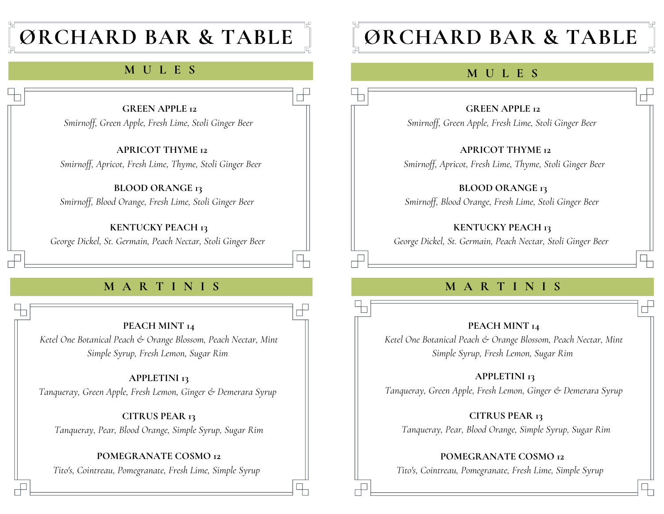## **ØRCHARD BAR & TABLE**

## **S U M M E RM UC LO ECSK T A I L S**

#### **GREEN APPLE 12** *Smirnoff, Green Apple, Fresh Lime, Stoli Ginger Beer*

冖

**APRICOT THYME 12** *Smirnoff, Apricot, Fresh Lime, Thyme, Stoli Ginger Beer*

**BLOOD ORANGE 13** *Smirnoff, Blood Orange, Fresh Lime, Stoli Ginger Beer*

**KENTUCKY PEACH 13** *George Dickel, St. Germain, Peach Nectar, Stoli Ginger Beer*

## **M A R T I N I S**

**PEACH MINT 14** *Ketel One Botanical Peach & Orange Blossom, Peach Nectar, Mint Simple Syrup, Fresh Lemon, Sugar Rim*

**APPLETINI 13** *Tanqueray, Green Apple, Fresh Lemon, Ginger & Demerara Syrup*

**CITRUS PEAR 13** *Tanqueray, Pear, Blood Orange, Simple Syrup, Sugar Rim*

### **POMEGRANATE COSMO 12**

*Tito's, Cointreau, Pomegranate, Fresh Lime, Simple Syrup*

# **ØRCHARD BAR & TABLE**

## **M U L E S**

#### **GREEN APPLE 12**

*Smirnoff, Green Apple, Fresh Lime, Stoli Ginger Beer*

**APRICOT THYME 12**

*Smirnoff, Apricot, Fresh Lime, Thyme, Stoli Ginger Beer*

**BLOOD ORANGE 13**

*Smirnoff, Blood Orange, Fresh Lime, Stoli Ginger Beer*

#### **KENTUCKY PEACH 13**

*George Dickel, St. Germain, Peach Nectar, Stoli Ginger Beer*

## **M A R T I N I S**

#### **PEACH MINT 14**

*Ketel One Botanical Peach & Orange Blossom, Peach Nectar, Mint Simple Syrup, Fresh Lemon, Sugar Rim*

#### **APPLETINI 13**

*Tanqueray, Green Apple, Fresh Lemon, Ginger & Demerara Syrup*

**CITRUS PEAR 13**

*Tanqueray, Pear, Blood Orange, Simple Syrup, Sugar Rim*

**POMEGRANATE COSMO 12**

*Tito's, Cointreau, Pomegranate, Fresh Lime, Simple Syrup*